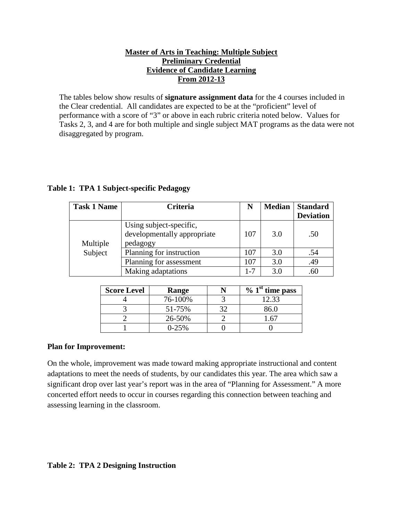## **Master of Arts in Teaching: Multiple Subject Preliminary Credential Evidence of Candidate Learning From 2012-13**

The tables below show results of **signature assignment data** for the 4 courses included in the Clear credential. All candidates are expected to be at the "proficient" level of performance with a score of "3" or above in each rubric criteria noted below. Values for Tasks 2, 3, and 4 are for both multiple and single subject MAT programs as the data were not disaggregated by program.

| <b>Task 1 Name</b> | <b>Criteria</b>                                                    | N   | <b>Median</b> | <b>Standard</b><br><b>Deviation</b> |
|--------------------|--------------------------------------------------------------------|-----|---------------|-------------------------------------|
| Multiple           | Using subject-specific,<br>developmentally appropriate<br>pedagogy | 107 | 3.0           | .50                                 |
| Subject            | Planning for instruction                                           | 107 | 3.0           | .54                                 |
|                    | Planning for assessment                                            | 107 | 3.0           | .49                                 |
|                    | Making adaptations                                                 | 1-7 | 3.0           | .60                                 |

## **Table 1: TPA 1 Subject-specific Pedagogy**

| <b>Score Level</b> | Range   | $\%$ 1 <sup>st</sup> time pass |
|--------------------|---------|--------------------------------|
|                    | 76-100% | 12.33                          |
|                    | 51-75%  | 86.0                           |
|                    | 26-50%  |                                |
|                    | $0-25%$ |                                |

## **Plan for Improvement:**

On the whole, improvement was made toward making appropriate instructional and content adaptations to meet the needs of students, by our candidates this year. The area which saw a significant drop over last year's report was in the area of "Planning for Assessment." A more concerted effort needs to occur in courses regarding this connection between teaching and assessing learning in the classroom.

## **Table 2: TPA 2 Designing Instruction**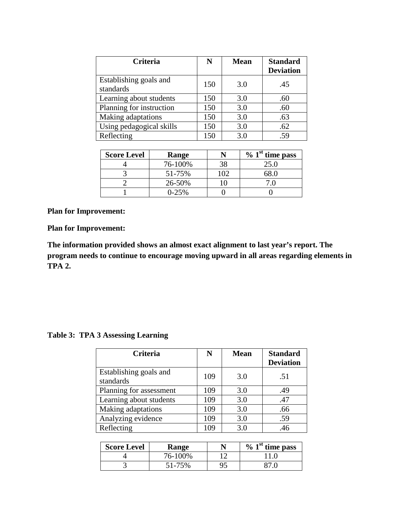| <b>Criteria</b>                     | N   | <b>Mean</b> | <b>Standard</b><br><b>Deviation</b> |
|-------------------------------------|-----|-------------|-------------------------------------|
| Establishing goals and<br>standards | 150 | 3.0         | .45                                 |
| Learning about students             | 150 | 3.0         | .60                                 |
| Planning for instruction            | 150 | 3.0         | .60                                 |
| Making adaptations                  | 150 | 3.0         | .63                                 |
| Using pedagogical skills            | 150 | 3.0         | .62                                 |
| Reflecting                          | 150 | 3.0         | .59                                 |

| <b>Score Level</b> | Range   |     | $\%$ 1 <sup>st</sup> time pass |
|--------------------|---------|-----|--------------------------------|
|                    | 76-100% |     | 25.0                           |
|                    | 51-75%  | 102 |                                |
|                    | 26-50%  |     |                                |
|                    | $0-25%$ |     |                                |

**Plan for Improvement:**

**The information provided shows an almost exact alignment to last year's report. The program needs to continue to encourage moving upward in all areas regarding elements in TPA 2.** 

**Table 3: TPA 3 Assessing Learning**

| <b>Criteria</b>                     | N   | <b>Mean</b> | <b>Standard</b><br><b>Deviation</b> |
|-------------------------------------|-----|-------------|-------------------------------------|
| Establishing goals and<br>standards | 109 | 3.0         | .51                                 |
| Planning for assessment             | 109 | 3.0         | .49                                 |
| Learning about students             | 109 | 3.0         | .47                                 |
| Making adaptations                  | 109 | 3.0         | .66                                 |
| Analyzing evidence                  | 109 | 3.0         | .59                                 |
| Reflecting                          | 109 | 3.0         | .46                                 |

| <b>Score Level</b> | <b>Range</b> | $\%$ 1 <sup>st</sup> time pass |
|--------------------|--------------|--------------------------------|
|                    | 76-100%      |                                |
|                    | 51-75%       |                                |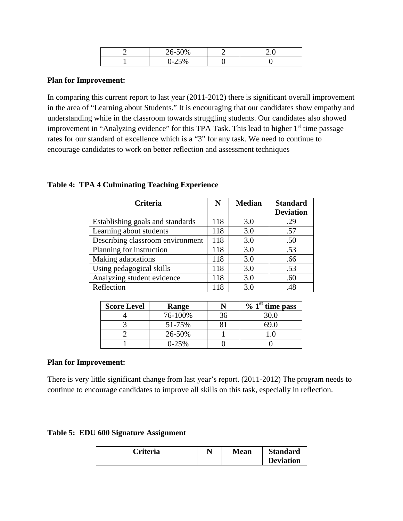| $.6 - 50\%$<br>$20 - 51'$ |  |
|---------------------------|--|
| $\Delta F \sim$           |  |

In comparing this current report to last year (2011-2012) there is significant overall improvement in the area of "Learning about Students." It is encouraging that our candidates show empathy and understanding while in the classroom towards struggling students. Our candidates also showed improvement in "Analyzing evidence" for this TPA Task. This lead to higher  $1<sup>st</sup>$  time passage rates for our standard of excellence which is a "3" for any task. We need to continue to encourage candidates to work on better reflection and assessment techniques

#### **Table 4: TPA 4 Culminating Teaching Experience**

| <b>Criteria</b>                  | N   | <b>Median</b> | <b>Standard</b>  |
|----------------------------------|-----|---------------|------------------|
|                                  |     |               | <b>Deviation</b> |
| Establishing goals and standards | 118 | 3.0           | .29              |
| Learning about students          | 118 | 3.0           | .57              |
| Describing classroom environment | 118 | 3.0           | .50              |
| Planning for instruction         | 118 | 3.0           | .53              |
| Making adaptations               | 118 | 3.0           | .66              |
| Using pedagogical skills         | 118 | 3.0           | .53              |
| Analyzing student evidence       | 118 | 3.0           | .60              |
| Reflection                       | 118 | 3.0           | .48              |

| <b>Score Level</b> | Range   |    | $\%$ 1 <sup>st</sup> time pass |
|--------------------|---------|----|--------------------------------|
|                    | 76-100% | ١h | 30.0                           |
|                    | 51-75%  |    |                                |
|                    | 26-50%  |    |                                |
|                    | $0-25%$ |    |                                |

#### **Plan for Improvement:**

There is very little significant change from last year's report. (2011-2012) The program needs to continue to encourage candidates to improve all skills on this task, especially in reflection.

| Table 5: EDU 600 Signature Assignment |  |  |
|---------------------------------------|--|--|
|---------------------------------------|--|--|

| Criteria | $\mathbf{N}^{\tau}$ | <b>Mean</b> | <b>Standard</b>  |
|----------|---------------------|-------------|------------------|
|          |                     |             | <b>Deviation</b> |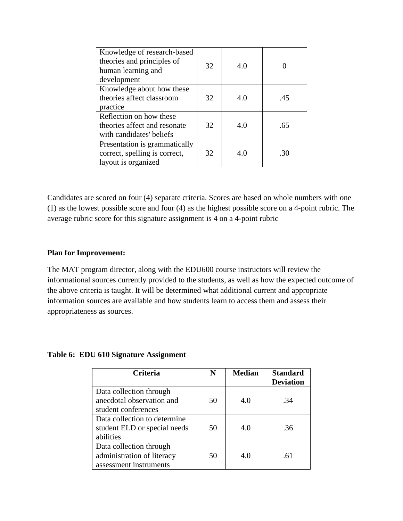| Knowledge of research-based<br>theories and principles of<br>human learning and<br>development | 32 | 4.0 |     |
|------------------------------------------------------------------------------------------------|----|-----|-----|
| Knowledge about how these<br>theories affect classroom<br>practice                             | 32 | 4.0 | .45 |
| Reflection on how these<br>theories affect and resonate<br>with candidates' beliefs            | 32 | 4.0 | .65 |
| Presentation is grammatically<br>correct, spelling is correct,<br>layout is organized          | 32 | 4.0 | -30 |

Candidates are scored on four (4) separate criteria. Scores are based on whole numbers with one (1) as the lowest possible score and four (4) as the highest possible score on a 4-point rubric. The average rubric score for this signature assignment is 4 on a 4-point rubric

### **Plan for Improvement:**

The MAT program director, along with the EDU600 course instructors will review the informational sources currently provided to the students, as well as how the expected outcome of the above criteria is taught. It will be determined what additional current and appropriate information sources are available and how students learn to access them and assess their appropriateness as sources.

**Table 6: EDU 610 Signature Assignment**

| <b>Criteria</b>                                                                 | N  | <b>Median</b> | <b>Standard</b><br><b>Deviation</b> |
|---------------------------------------------------------------------------------|----|---------------|-------------------------------------|
| Data collection through<br>anecdotal observation and<br>student conferences     | 50 | 4.0           | .34                                 |
| Data collection to determine<br>student ELD or special needs<br>abilities       | 50 | 4.0           | .36                                 |
| Data collection through<br>administration of literacy<br>assessment instruments | 50 | 4.0           | -61                                 |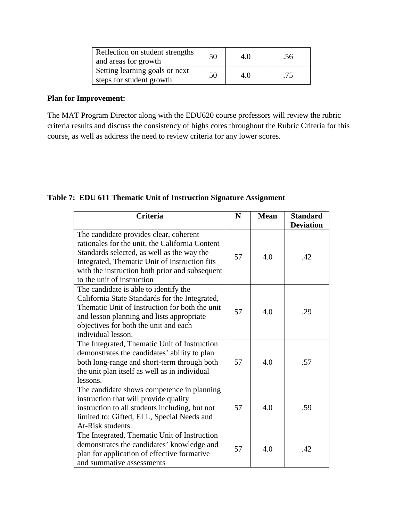| Reflection on student strengths<br>and areas for growth    | 50 | 4.0 | .56 |
|------------------------------------------------------------|----|-----|-----|
| Setting learning goals or next<br>steps for student growth | 50 | 4.0 | .75 |

The MAT Program Director along with the EDU620 course professors will review the rubric criteria results and discuss the consistency of highs cores throughout the Rubric Criteria for this course, as well as address the need to review criteria for any lower scores.

**Table 7: EDU 611 Thematic Unit of Instruction Signature Assignment**

| <b>Criteria</b>                                                                                                                                                                                                                                                          | N  | <b>Mean</b> | <b>Standard</b><br><b>Deviation</b> |
|--------------------------------------------------------------------------------------------------------------------------------------------------------------------------------------------------------------------------------------------------------------------------|----|-------------|-------------------------------------|
| The candidate provides clear, coherent<br>rationales for the unit, the California Content<br>Standards selected, as well as the way the<br>Integrated, Thematic Unit of Instruction fits<br>with the instruction both prior and subsequent<br>to the unit of instruction | 57 | 4.0         | .42                                 |
| The candidate is able to identify the<br>California State Standards for the Integrated,<br>Thematic Unit of Instruction for both the unit<br>and lesson planning and lists appropriate<br>objectives for both the unit and each<br>individual lesson.                    | 57 | 4.0         | .29                                 |
| The Integrated, Thematic Unit of Instruction<br>demonstrates the candidates' ability to plan<br>both long-range and short-term through both<br>the unit plan itself as well as in individual<br>lessons.                                                                 | 57 | 4.0         | .57                                 |
| The candidate shows competence in planning<br>instruction that will provide quality<br>instruction to all students including, but not<br>limited to: Gifted, ELL, Special Needs and<br>At-Risk students.                                                                 | 57 | 4.0         | .59                                 |
| The Integrated, Thematic Unit of Instruction<br>demonstrates the candidates' knowledge and<br>plan for application of effective formative<br>and summative assessments                                                                                                   | 57 | 4.0         | .42                                 |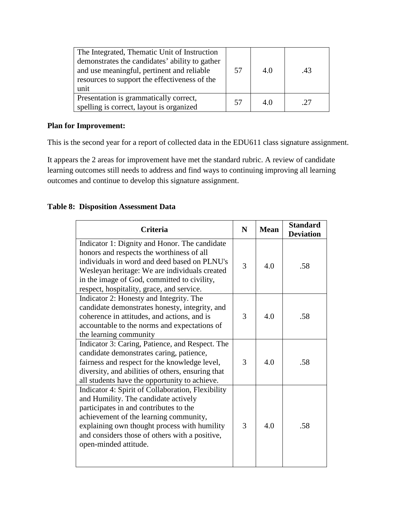| The Integrated, Thematic Unit of Instruction<br>demonstrates the candidates' ability to gather<br>and use meaningful, pertinent and reliable<br>resources to support the effectiveness of the<br>unit | 57 | 4.0 | $\Delta$ 3 |
|-------------------------------------------------------------------------------------------------------------------------------------------------------------------------------------------------------|----|-----|------------|
| Presentation is grammatically correct,<br>spelling is correct, layout is organized                                                                                                                    | 57 | 4.0 | .27        |

This is the second year for a report of collected data in the EDU611 class signature assignment.

It appears the 2 areas for improvement have met the standard rubric. A review of candidate learning outcomes still needs to address and find ways to continuing improving all learning outcomes and continue to develop this signature assignment.

# **Table 8: Disposition Assessment Data**

| Criteria                                                                                                                                                                                                                                                                                                 | $\mathbf N$ | <b>Mean</b> | <b>Standard</b><br><b>Deviation</b> |
|----------------------------------------------------------------------------------------------------------------------------------------------------------------------------------------------------------------------------------------------------------------------------------------------------------|-------------|-------------|-------------------------------------|
| Indicator 1: Dignity and Honor. The candidate<br>honors and respects the worthiness of all<br>individuals in word and deed based on PLNU's<br>Wesleyan heritage: We are individuals created<br>in the image of God, committed to civility,<br>respect, hospitality, grace, and service.                  | 3           | 4.0         | .58                                 |
| Indicator 2: Honesty and Integrity. The<br>candidate demonstrates honesty, integrity, and<br>coherence in attitudes, and actions, and is<br>accountable to the norms and expectations of<br>the learning community                                                                                       | 3           | 4.0         | .58                                 |
| Indicator 3: Caring, Patience, and Respect. The<br>candidate demonstrates caring, patience,<br>fairness and respect for the knowledge level,<br>diversity, and abilities of others, ensuring that<br>all students have the opportunity to achieve.                                                       | 3           | 4.0         | .58                                 |
| Indicator 4: Spirit of Collaboration, Flexibility<br>and Humility. The candidate actively<br>participates in and contributes to the<br>achievement of the learning community,<br>explaining own thought process with humility<br>and considers those of others with a positive,<br>open-minded attitude. | 3           | 4.0         | .58                                 |